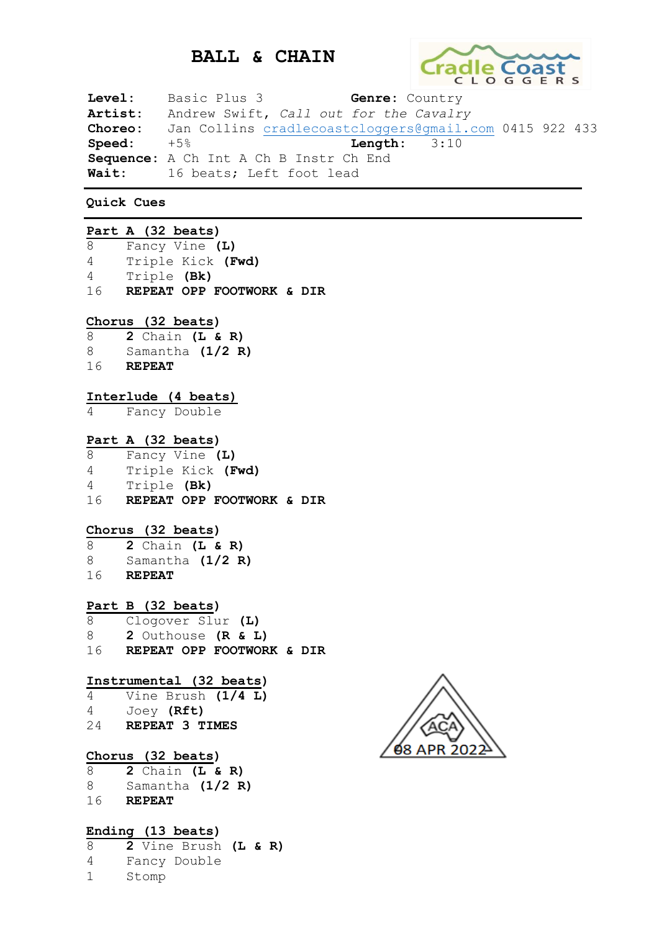# **BALL & CHAIN**



**Level:** Basic Plus 3 **Genre:** Country **Artist:** Andrew Swift, *Call out for the Cavalry* **Choreo:** Jan Collins [cradlecoastcloggers@gmail.com](mailto:cradlecoastcloggers@gmail.com) 0415 922 433 **Speed:** +5% **Length:** 3:10 **Sequence:** A Ch Int A Ch B Instr Ch End **Wait:** 16 beats; Left foot lead

**Quick Cues**

|   | Part A (32 beats)                        |
|---|------------------------------------------|
|   |                                          |
|   | 8 Fancy Vine (L)                         |
|   | 4 Triple Kick (Fwd)                      |
|   | 4 Triple (Bk)                            |
|   | 16 REPEAT OPP FOOTWORK & DIR             |
|   |                                          |
|   |                                          |
|   | Chorus (32 beats)                        |
|   | $8$ 2 Chain (L & R)                      |
|   | 8 Samantha (1/2 R)                       |
|   | 16 REPEAT                                |
|   |                                          |
|   |                                          |
|   | Interlude (4 beats)                      |
| 4 | Fancy Double                             |
|   |                                          |
|   | Part A (32 beats)                        |
|   |                                          |
|   | 8 Fancy Vine (L)                         |
|   | 4 Triple Kick (Fwd)                      |
|   | 4 Triple (Bk)                            |
|   | 16 REPEAT OPP FOOTWORK & DIR             |
|   |                                          |
|   |                                          |
|   | Chorus (32 beats)                        |
|   | $8$ 2 Chain (L & R)                      |
|   | 8 Samantha (1/2 R)                       |
|   | 16 REPEAT                                |
|   |                                          |
|   |                                          |
|   | Part B (32 beats)<br>8 Clogover Slur (L) |
|   |                                          |
|   | 8 2 Outhouse (R & L)                     |
|   | 16 REPEAT OPP FOOTWORK & DIR             |
|   |                                          |
|   |                                          |
|   | Instrumental (32 beats)                  |
|   | 4 Vine Brush (1/4 L)                     |
|   | 4 Joey (Rft)                             |
|   | 24 REPEAT 3 TIMES                        |
|   |                                          |
|   |                                          |
|   | Chorus (32 beats)                        |
| 8 | $2$ Chain (L & R)                        |
|   | 8 Samantha (1/2 R)                       |
|   | 16 REPEAT                                |
|   |                                          |
|   |                                          |
|   | Ending (13 beats)                        |
| 8 | 2 Vine Brush (L & R)                     |
| 4 | Fancy Double                             |
|   |                                          |

1 Stomp

**08 APR 202**